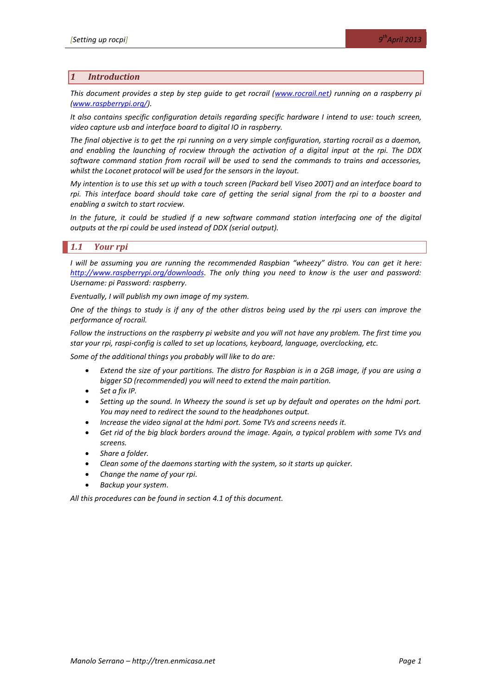### *1 Introduction*

*This document provides a step by step guide to get rocrail [\(www.rocrail.net\)](http://www.rocrail.net/) running on a raspberry pi [\(www.raspberrypi.org/\)](http://www.raspberrypi.org/).* 

*It also contains specific configuration details regarding specific hardware I intend to use: touch screen, video capture usb and interface board to digital IO in raspberry.*

*The final objective is to get the rpi running on a very simple configuration, starting rocrail as a daemon, and enabling the launching of rocview through the activation of a digital input at the rpi. The DDX software command station from rocrail will be used to send the commands to trains and accessories, whilst the Loconet protocol will be used for the sensors in the layout.*

*My intention is to use this set up with a touch screen (Packard bell Viseo 200T) and an interface board to*  rpi. This interface board should take care of getting the serial signal from the rpi to a booster and *enabling a switch to start rocview.*

*In the future, it could be studied if a new software command station interfacing one of the digital outputs at the rpi could be used instead of DDX (serial output).*

# *1.1 Your rpi*

*I* will be assuming you are running the recommended Raspbian "wheezy" distro. You can get it here: *[http://www.raspberrypi.org/downloads.](http://www.raspberrypi.org/downloads) The only thing you need to know is the user and password: Username: pi Password: raspberry.*

*Eventually, I will publish my own image of my system.*

*One of the things to study is if any of the other distros being used by the rpi users can improve the performance of rocrail.*

*Follow the instructions on the raspberry pi website and you will not have any problem. The first time you star your rpi, raspi-config is called to set up locations, keyboard, language, overclocking, etc.* 

*Some of the additional things you probably will like to do are:*

- *Extend the size of your partitions. The distro for Raspbian is in a 2GB image, if you are using a bigger SD (recommended) you will need to extend the main partition.*
- *Set a fix IP.*
- *Setting up the sound. In Wheezy the sound is set up by default and operates on the hdmi port. You may need to redirect the sound to the headphones output.*
- *Increase the video signal at the hdmi port. Some TVs and screens needs it.*
- *Get rid of the big black borders around the image. Again, a typical problem with some TVs and screens.*
- *Share a folder.*
- *Clean some of the daemons starting with the system, so it starts up quicker.*
- *Change the name of your rpi.*
- *Backup your system.*

*All this procedures can be found in sectio[n 4.1](#page-12-0) of this document.*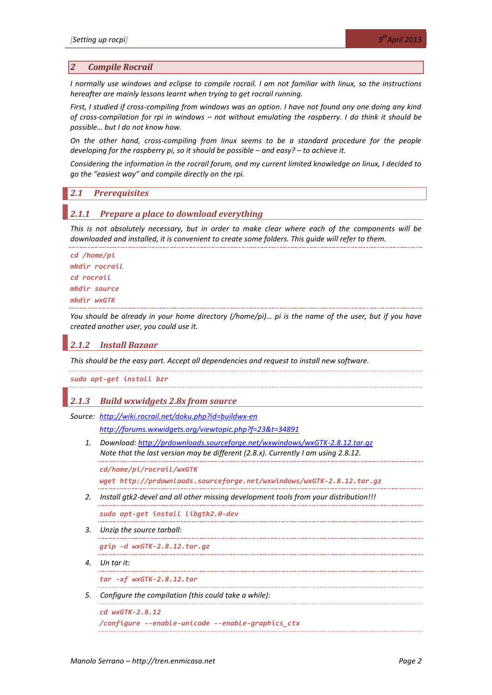#### *2 Compile Rocrail*

*I normally use windows and eclipse to compile rocrail. I am not familiar with linux, so the instructions hereafter are mainly lessons learnt when trying to get rocrail running.*

*First, I studied if cross-compiling from windows was an option. I have not found any one doing any kind of cross-compilation for rpi in windows – not without emulating the raspberry. I do think it should be possible… but I do not know how.*

*On the other hand, cross-compiling from linux seems to be a standard procedure for the people developing for the raspberry pi, so it should be possible – and easy? – to achieve it.* 

*Considering the information in the rocrail forum, and my current limited knowledge on linux, I decided to go the "easiest way" and compile directly on the rpi.*

#### *2.1 Prerequisites*

#### *2.1.1 Prepare a place to download everything*

*This is not absolutely necessary, but in order to make clear where each of the components will be downloaded and installed, it is convenient to create some folders. This guide will refer to them.*

```
cd /home/pi
mkdir rocrail
cd rocrail
mkdir source
mkdir wxGTK
```
*You should be already in your home directory (/home/pi)… pi is the name of the user, but if you have created another user, you could use it.*

# *2.1.2 Install Bazaar*

*This should be the easy part. Accept all dependencies and request to install new software.*

*sudo apt-get install bzr*

### *2.1.3 Build wxwidgets 2.8x from source*

*Source: <http://wiki.rocrail.net/doku.php?id=buildwx-en>*

*<http://forums.wxwidgets.org/viewtopic.php?f=23&t=34891>*

*1. Download:<http://prdownloads.sourceforge.net/wxwindows/wxGTK-2.8.12.tar.gz> Note that the last version may be different (2.8.x). Currently I am using 2.8.12.*

*cd/home/pi/rocrail/wxGTK*

*wget http://prdownloads.sourceforge.net/wxwindows/wxGTK-2.8.12.tar.gz* 

*2. Install gtk2-devel and all other missing development tools from your distribution!!!*

*sudo apt-get install libgtk2.0-dev*

*3. Unzip the source tarball:*

.................................... *gzip -d wxGTK-2.8.12.tar.gz*

*4. Un tar it:*

. . . . . . . . .

*tar -xf wxGTK-2.8.12.tar*

*5. Configure the compilation (this could take a while):*

```
cd wxGTK-2.8.12
/configure --enable-unicode --enable-graphics_ctx
```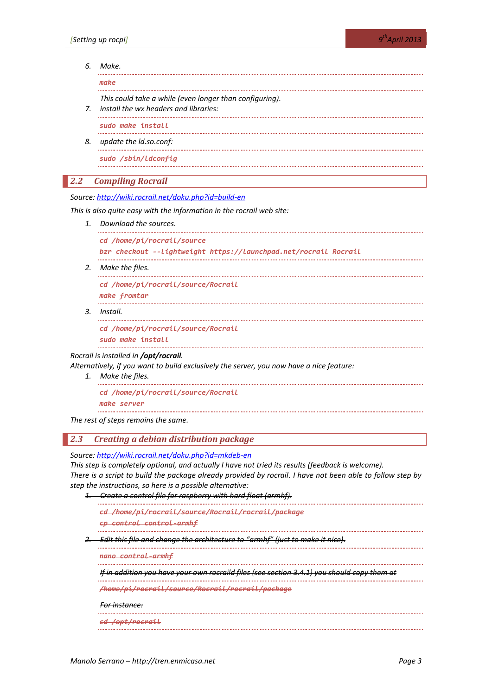#### *6. Make.*

*make*

*This could take a while (even longer than configuring).*

*7. install the wx headers and libraries:*

*sudo make install*

*8. update the ld.so.conf:*

*sudo /sbin/ldconfig*

#### *2.2 Compiling Rocrail*

*Source:<http://wiki.rocrail.net/doku.php?id=build-en>*

*This is also quite easy with the information in the rocrail web site:*

*1. Download the sources.*

```
cd /home/pi/rocrail/source
```

```
bzr checkout --lightweight https://launchpad.net/rocrail Rocrail
```
*2. Make the files.*

*cd /home/pi/rocrail/source/Rocrail make fromtar*

*3. Install.*

*cd /home/pi/rocrail/source/Rocrail*

*sudo make install*

#### *Rocrail is installed in /opt/rocrail.*

*Alternatively, if you want to build exclusively the server, you now have a nice feature:*

*1. Make the files.*

*cd /home/pi/rocrail/source/Rocrail*

*make server*

*The rest of steps remains the same.*

# *2.3 Creating a debian distribution package*

*Source:<http://wiki.rocrail.net/doku.php?id=mkdeb-en>*

*This step is completely optional, and actually I have not tried its results (feedback is welcome). There is a script to build the package already provided by rocrail. I have not been able to follow step by step the instructions, so here is a possible alternative:*

*1. Create a control file for raspberry with hard float (armhf).*

*cd /home/pi/rocrail/source/Rocrail/rocrail/package*

*cp control control-armhf*

*2. Edit this file and change the architecture to "armhf" (just to make it nice).*

*nano control-armhf* 

*If in addition you have your own rocraild files (see section [3.4.1\)](#page-7-0) you should copy them at* 

*/home/pi/rocrail/source/Rocrail/rocrail/package*

*For instance:*

*cd /opt/rocrail*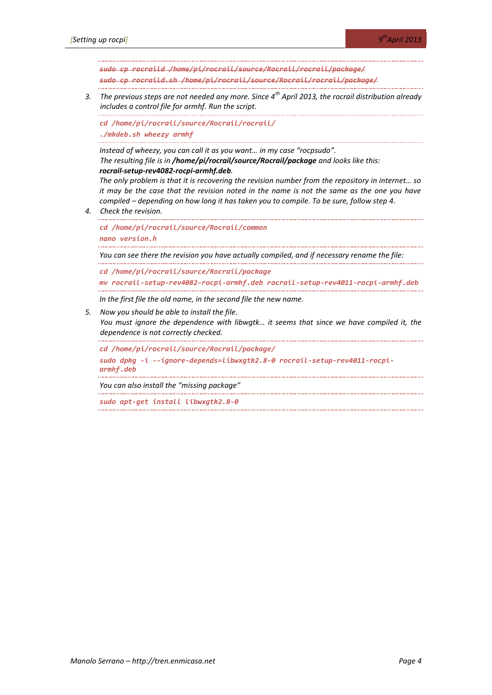*sudo cp rocraild /home/pi/rocrail/source/Rocrail/rocrail/package/ sudo cp rocraild.sh /home/pi/rocrail/source/Rocrail/rocrail/package/*

*3. The previous steps are not needed any more. Since 4th April 2013, the rocrail distribution already includes a control file for armhf. Run the script.*

*cd /home/pi/rocrail/source/Rocrail/rocrail/ ./mkdeb.sh wheezy armhf*

*Instead of wheezy, you can call it as you want… in my case "rocpsudo". The resulting file is in /home/pi/rocrail/source/Rocrail/package and looks like this: rocrail-setup-rev4082-rocpi-armhf.deb.*

*The only problem is that it is recovering the revision number from the repository in internet… so it may be the case that the revision noted in the name is not the same as the one you have compiled – depending on how long it has taken you to compile. To be sure, follow step 4.*

*4. Check the revision.*

*cd /home/pi/rocrail/source/Rocrail/common*

*nano version.h* 

*You can see there the revision you have actually compiled, and if necessary rename the file:*

*cd /home/pi/rocrail/source/Rocrail/package*

*mv rocrail-setup-rev4082-rocpi-armhf.deb rocrail-setup-rev4011-rocpi-armhf.deb*

*In the first file the old name, in the second file the new name.*

*5. Now you should be able to install the file.*

*You must ignore the dependence with libwgtk… it seems that since we have compiled it, the dependence is not correctly checked.*

```
cd /home/pi/rocrail/source/Rocrail/package/
sudo dpkg -i --ignore-depends=libwxgtk2.8-0 rocrail-setup-rev4011-rocpi-
armhf.deb
```
*You can also install the "missing package"*

*sudo apt-get install libwxgtk2.8-0*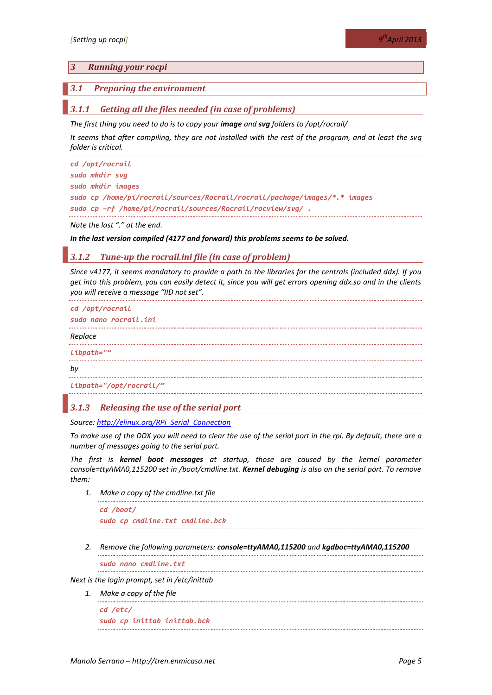#### *3 Running your rocpi*

#### *3.1 Preparing the environment*

#### *3.1.1 Getting all the files needed (in case of problems)*

*The first thing you need to do is to copy your image and svg folders to /opt/rocrail/*

*It seems that after compiling, they are not installed with the rest of the program, and at least the svg folder is critical.*

```
cd /opt/rocrail
sudo mkdir svg
sudo mkdir images
sudo cp /home/pi/rocrail/sources/Rocrail/rocrail/package/images/*.* images
sudo cp –rf /home/pi/rocrail/sources/Rocrail/rocview/svg/ .
```
*Note the last "." at the end.*

#### *In the last version compiled (4177 and forward) this problems seems to be solved.*

#### *3.1.2 Tune-up the rocrail.ini file (in case of problem)*

*Since v4177, it seems mandatory to provide a path to the libraries for the centrals (included ddx). If you get into this problem, you can easily detect it, since you will get errors opening ddx.so and in the clients you will receive a message "IID not set".*

```
cd /opt/rocrail
sudo nano rocrail.ini
Replace 
libpath=""
by
libpath="/opt/rocrail/"
```
#### *3.1.3 Releasing the use of the serial port*

*Source: [http://elinux.org/RPi\\_Serial\\_Connection](http://elinux.org/RPi_Serial_Connection)*

*To make use of the DDX you will need to clear the use of the serial port in the rpi. By default, there are a number of messages going to the serial port.*

<span id="page-4-0"></span>*The first is kernel boot messages at startup, those are caused by the kernel parameter console=ttyAMA0,115200 set in /boot/cmdline.txt. Kernel debuging is also on the serial port. To remove them:*

*1. Make a copy of the cmdline.txt file*

*cd /boot/ sudo cp cmdline.txt cmdline.bck*

*2. Remove the following parameters: console=ttyAMA0,115200 and kgdboc=ttyAMA0,115200*

*sudo nano cmdline.txt*

*Next is the login prompt, set in /etc/inittab*

*1. Make a copy of the file*

*cd /etc/ sudo cp inittab inittab.bck*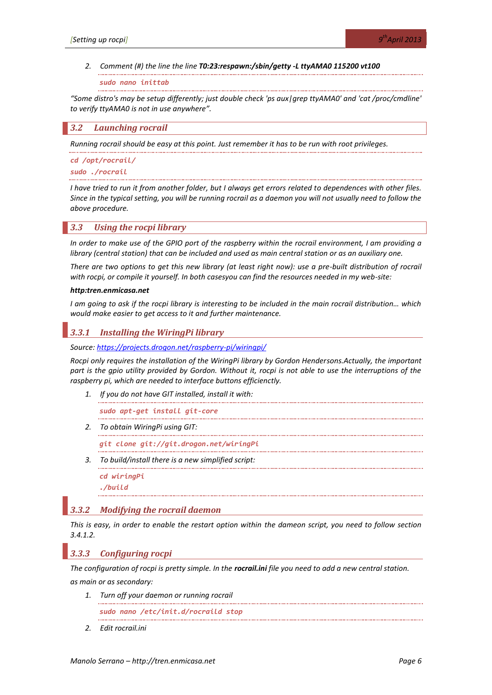#### *2. Comment (#) the line the line T0:23:respawn:/sbin/getty -L ttyAMA0 115200 vt100*

*sudo nano inittab*

*"Some distro's may be setup differently; just double check 'ps aux|grep ttyAMA0' and 'cat /proc/cmdline' to verify ttyAMA0 is not in use anywhere".*

#### <span id="page-5-0"></span>*3.2 Launching rocrail*

*Running rocrail should be easy at this point. Just remember it has to be run with root privileges.*

*cd /opt/rocrail/ sudo ./rocrail*

*I have tried to run it from another folder, but I always get errors related to dependences with other files. Since in the typical setting, you will be running rocrail as a daemon you will not usually need to follow the above procedure.*

#### <span id="page-5-2"></span>*3.3 Using the rocpi library*

*In order to make use of the GPIO port of the raspberry within the rocrail environment, I am providing a library (central station) that can be included and used as main central station or as an auxiliary one.*

*There are two options to get this new library (at least right now): use a pre-built distribution of rocrail with rocpi, or compile it yourself. In both casesyou can find the resources needed in my web-site:*

#### *http:tren.enmicasa.net*

*I am going to ask if the rocpi library is interesting to be included in the main rocrail distribution… which would make easier to get access to it and further maintenance.*

# *3.3.1 Installing the WiringPi library*

*Source:<https://projects.drogon.net/raspberry-pi/wiringpi/>*

*Rocpi only requires the installation of the WiringPi library by Gordon Hendersons.Actually, the important part is the gpio utility provided by Gordon. Without it, rocpi is not able to use the interruptions of the raspberry pi, which are needed to interface buttons efficienctly.*

*1. If you do not have GIT installed, install it with:*

*sudo apt-get install git-core*

*2. To obtain WiringPi using GIT:*

*git clone git://git.drogon.net/wiringPi*

*3. To build/install there is a new simplified script:*

*cd wiringPi*

*./build*

#### *3.3.2 Modifying the rocrail daemon*

*This is easy, in order to enable the restart option within the dameon script, you need to follow section [3.4.1.2.](#page-9-0)*

#### <span id="page-5-1"></span>*3.3.3 Configuring rocpi*

*The configuration of rocpi is pretty simple. In the rocrail.ini file you need to add a new central station.*

*as main or as secondary:*

*1. Turn off your daemon or running rocrail*

*sudo nano /etc/init.d/rocraild stop*

*2. Edit rocrail.ini*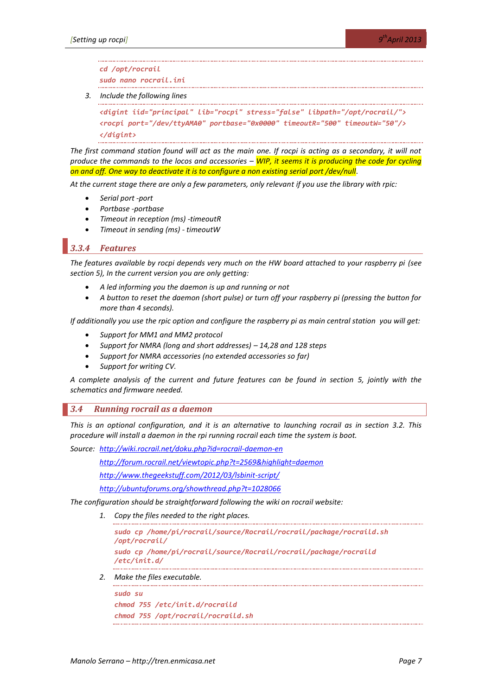*cd /opt/rocrail*

*sudo nano rocrail.ini*

*3. Include the following lines*

```
<digint iid="principal" lib="rocpi" stress="false" libpath="/opt/rocrail/">
<rocpi port="/dev/ttyAMA0" portbase="0x0000" timeoutR="500" timeoutW="50"/>
</digint>
```
*The first command station found will act as the main one. If rocpi is acting as a secondary, it will not produce the commands to the locos and accessories – WIP, it seems it is producing the code for cycling on and off. One way to deactivate it is to configure a non existing serial port /dev/null.*

*At the current stage there are only a few parameters, only relevant if you use the library with rpic:*

- *Serial port -port*
- *Portbase -portbase*
- *Timeout in reception (ms) -timeoutR*
- *Timeout in sending (ms) - timeoutW*

## *3.3.4 Features*

*The features available by rocpi depends very much on the HW board attached to your raspberry pi (see section [5\)](#page-19-0), In the current version you are only getting:*

- *A led informing you the daemon is up and running or not*
- *A button to reset the daemon (short pulse) or turn off your raspberry pi (pressing the button for more than 4 seconds).*

*If additionally you use the rpic option and configure the raspberry pi as main central station you will get:*

- *Support for MM1 and MM2 protocol*
- *Support for NMRA (long and short addresses) – 14,28 and 128 steps*
- *Support for NMRA accessories (no extended accessories so far)*
- *Support for writing CV.*

*A complete analysis of the current and future features can be found in section [5,](#page-19-0) jointly with the schematics and firmware needed.*

#### *3.4 Running rocrail as a daemon*

*This is an optional configuration, and it is an alternative to launching rocrail as in section [3.2.](#page-5-0) This procedure will install a daemon in the rpi running rocrail each time the system is boot.*

*Source: <http://wiki.rocrail.net/doku.php?id=rocrail-daemon-en>*

*<http://forum.rocrail.net/viewtopic.php?t=2569&highlight=daemon>*

*<http://www.thegeekstuff.com/2012/03/lsbinit-script/>*

*<http://ubuntuforums.org/showthread.php?t=1028066>*

*The configuration should be straightforward following the wiki on rocrail website:*

*1. Copy the files needed to the right places.*

*sudo cp /home/pi/rocrail/source/Rocrail/rocrail/package/rocraild.sh /opt/rocrail/*

*sudo cp /home/pi/rocrail/source/Rocrail/rocrail/package/rocraild /etc/init.d/*

*2. Make the files executable.*

```
sudo su
chmod 755 /etc/init.d/rocraild
chmod 755 /opt/rocrail/rocraild.sh
```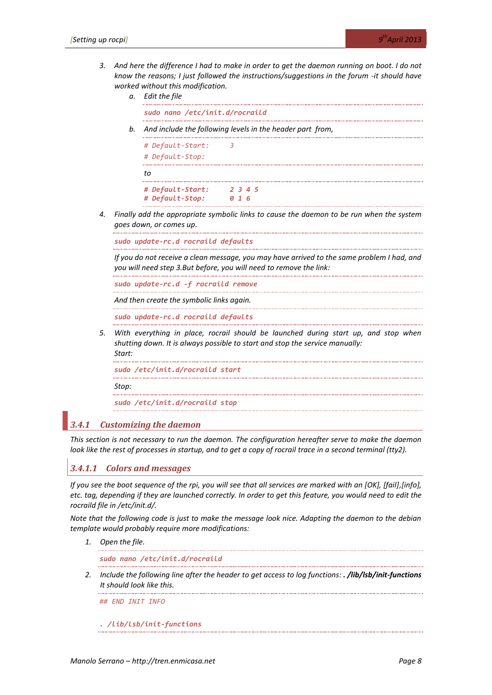*3. And here the difference I had to make in order to get the daemon running on boot. I do not know the reasons; I just followed the instructions/suggestions in the forum -it should have worked without this modification.* 

*a. Edit the file*

*sudo nano /etc/init.d/rocraild*

*b. And include the following levels in the header part from,*

|    | # Default-Start:<br># Default-Stop: | 3 |              |         |  |  |
|----|-------------------------------------|---|--------------|---------|--|--|
| to |                                     |   |              |         |  |  |
|    | # Default-Start:<br># Default-Stop: |   | <b>ค</b> 1 ค | 2 3 4 5 |  |  |

*4. Finally add the appropriate symbolic links to cause the daemon to be run when the system goes down, or comes up.*

*sudo update-rc.d rocraild defaults*

*If you do not receive a clean message, you may have arrived to the same problem I had, and you will need step 3.But before, you will need to remove the link:*

*sudo update-rc.d -f rocraild remove*

*And then create the symbolic links again.*

*sudo update-rc.d rocraild defaults*

*5. With everything in place, rocrail should be launched during start up, and stop when shutting down. It is always possible to start and stop the service manually: Start:*

*sudo /etc/init.d/rocraild start*

*Stop:*

*sudo /etc/init.d/rocraild stop*

# <span id="page-7-0"></span>*3.4.1 Customizing the daemon*

*This section is not necessary to run the daemon. The configuration hereafter serve to make the daemon look like the rest of processes in startup, and to get a copy of rocrail trace in a second terminal (tty2).*

# *3.4.1.1 Colors and messages*

*If you see the boot sequence of the rpi, you will see that all services are marked with an [OK], [fail],[info], etc. tag, depending if they are launched correctly. In order to get this feature, you would need to edit the rocraild file in /etc/init.d/.*

*Note that the following code is just to make the message look nice. Adapting the daemon to the debian template would probably require more modifications:*

*1. Open the file.*

*sudo nano /etc/init.d/rocraild*

*2. Include the following line after the header to get access to log functions: . /lib/lsb/init-functions It should look like this.*

*## END INIT INFO*

*. /lib/lsb/init-functions*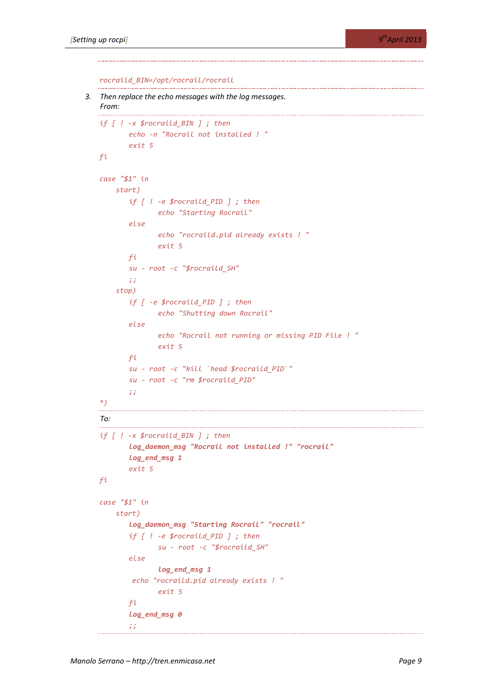*rocraild\_BIN=/opt/rocrail/rocrail*

```
3. Then replace the echo messages with the log messages. 
   From:
   if [ ! -x $rocraild_BIN ] ; then
         echo -n "Rocrail not installed ! "
        exit 5
   fi
   case "$1" in
       start)
         if [ ! -e $rocraild_PID ] ; then
              echo "Starting Rocrail"
        else
              echo "rocraild.pid already exists ! "
              exit 5
        fi
        su - root -c "$rocraild_SH"
        ;;
       stop)
        if [ -e $rocraild_PID ] ; then
              echo "Shutting down Rocrail"
         else
              echo "Rocrail not running or missing PID File ! "
              exit 5
        fi
        su - root -c "kill `head $rocraild_PID`"
        su - root -c "rm $rocraild_PID"
        ;;
   *)
                          To:
                               if [ ! -x $rocraild_BIN ] ; then
        log_daemon_msg "Rocrail not installed !" "rocrail"
        log_end_msg 1
        exit 5
   fi
   case "$1" in
       start)
         log_daemon_msg "Starting Rocrail" "rocrail"
         if [ ! -e $rocraild_PID ] ; then
              su - root -c "$rocraild_SH"
        else
              log_end_msg 1
          echo "rocraild.pid already exists ! "
              exit 5
        fi
        log_end_msg 0
        ;;
```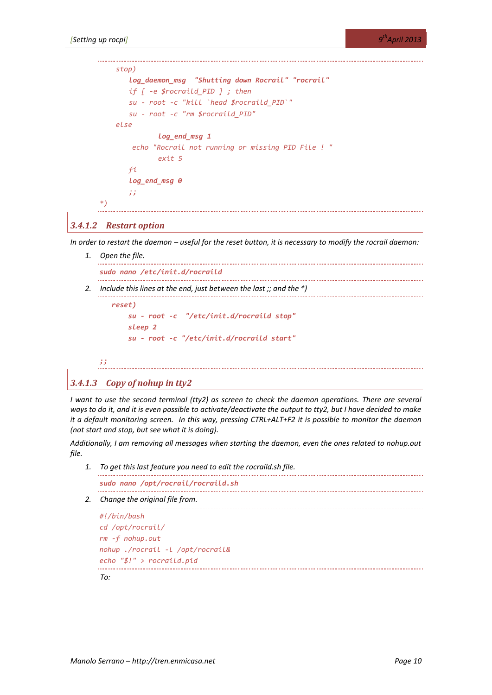```
 stop)
       log_daemon_msg "Shutting down Rocrail" "rocrail"
       if [ -e $rocraild_PID ] ; then
       su - root -c "kill `head $rocraild_PID`"
       su - root -c "rm $rocraild_PID"
    else
              log_end_msg 1
        echo "Rocrail not running or missing PID File ! "
              exit 5
       fi
       log_end_msg 0
       ;;
*)
```
## <span id="page-9-0"></span>*3.4.1.2 Restart option*

*In order to restart the daemon – useful for the reset button, it is necessary to modify the rocrail daemon:*

- *1. Open the file. sudo nano /etc/init.d/rocraild*
- *2. Include this lines at the end, just between the last ;; and the \*)*

```
 reset)
     su - root -c "/etc/init.d/rocraild stop"
     sleep 2
     su - root -c "/etc/init.d/rocraild start"
```
*;;*

#### *3.4.1.3 Copy of nohup in tty2*

*I* want to use the second terminal (tty2) as screen to check the daemon operations. There are several *ways to do it, and it is even possible to activate/deactivate the output to tty2, but I have decided to make it a default monitoring screen. In this way, pressing CTRL+ALT+F2 it is possible to monitor the daemon (not start and stop, but see what it is doing).* 

*Additionally, I am removing all messages when starting the daemon, even the ones related to nohup.out file.*

*1. To get this last feature you need to edit the rocraild.sh file.*

*sudo nano /opt/rocrail/rocraild.sh*

*2. Change the original file from.*

```
#!/bin/bash
cd /opt/rocrail/
rm -f nohup.out
nohup ./rocrail -l /opt/rocrail&
echo "$!" > rocraild.pid
```
*To:*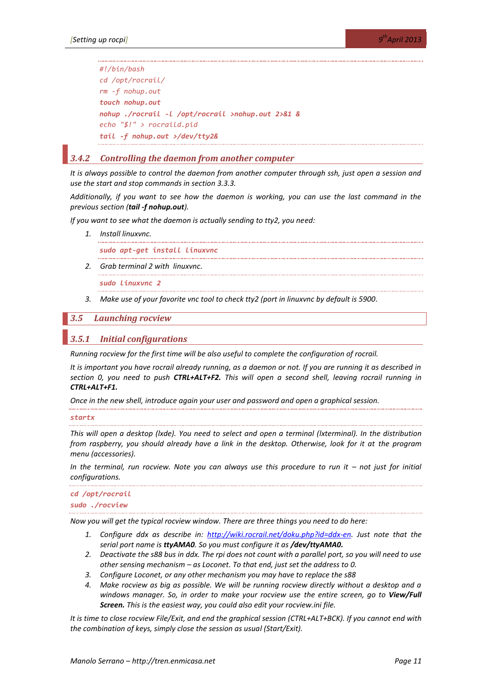```
#!/bin/bash
cd /opt/rocrail/
rm -f nohup.out
touch nohup.out
nohup ./rocrail -l /opt/rocrail >nohup.out 2>&1 &
echo "$!" > rocraild.pid
tail -f nohup.out >/dev/tty2&
```
# *3.4.2 Controlling the daemon from another computer*

*It is always possible to control the daemon from another computer through ssh, just open a session and use the start and stop commands in section [3.3.3.](#page-5-1)*

*Additionally, if you want to see how the daemon is working, you can use the last command in the previous section (tail -f nohup.out).*

*If you want to see what the daemon is actually sending to tty2, you need:*

*1. Install linuxvnc.*

*sudo apt-get install linuxvnc*

*2. Grab terminal 2 with linuxvnc.*

*sudo linuxvnc 2*

*3. Make use of your favorite vnc tool to check tty2 (port in linuxvnc by default is 5900.*

### *3.5 Launching rocview*

#### <span id="page-10-0"></span>*3.5.1 Initial configurations*

*Running rocview for the first time will be also useful to complete the configuration of rocrail.*

*It is important you have rocrail already running, as a daemon or not. If you are running it as described in section [0,](#page-4-0) you need to push CTRL+ALT+F2. This will open a second shell, leaving rocrail running in CTRL+ALT+F1.*

*Once in the new shell, introduce again your user and password and open a graphical session.*

#### *startx*

*This will open a desktop (lxde). You need to select and open a terminal (lxterminal). In the distribution from raspberry, you should already have a link in the desktop. Otherwise, look for it at the program menu (accessories).*

*In the terminal, run rocview. Note you can always use this procedure to run it – not just for initial configurations.*

### *cd /opt/rocrail sudo ./rocview*

*Now you will get the typical rocview window. There are three things you need to do here:*

- *1. Configure ddx as describe in: [http://wiki.rocrail.net/doku.php?id=ddx-en.](http://wiki.rocrail.net/doku.php?id=ddx-en) Just note that the serial port name is ttyAMA0. So you must configure it as /dev/ttyAMA0.*
- *2. Deactivate the s88 bus in ddx. The rpi does not count with a parallel port, so you will need to use other sensing mechanism – as Loconet. To that end, just set the address to 0.*
- *3. Configure Loconet, or any other mechanism you may have to replace the s88*
- *4. Make rocview as big as possible. We will be running rocview directly without a desktop and a windows manager. So, in order to make your rocview use the entire screen, go to View/Full Screen. This is the easiest way, you could also edit your rocview.ini file.*

*It is time to close rocview File/Exit, and end the graphical session (CTRL+ALT+BCK). If you cannot end with the combination of keys, simply close the session as usual (Start/Exit).*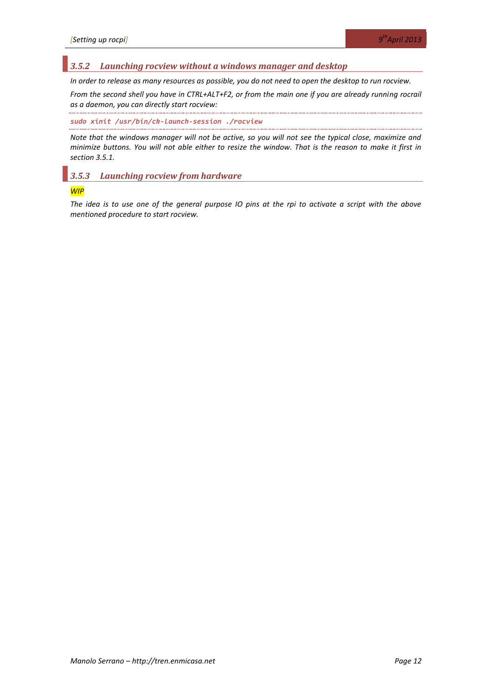# *3.5.2 Launching rocview without a windows manager and desktop*

*In order to release as many resources as possible, you do not need to open the desktop to run rocview.*

*From the second shell you have in CTRL+ALT+F2, or from the main one if you are already running rocrail as a daemon, you can directly start rocview:*

*sudo xinit /usr/bin/ck-launch-session ./rocview*

*Note that the windows manager will not be active, so you will not see the typical close, maximize and minimize buttons. You will not able either to resize the window. That is the reason to make it first in section [3.5.1.](#page-10-0)*

# *3.5.3 Launching rocview from hardware*

#### *WIP*

*The idea is to use one of the general purpose IO pins at the rpi to activate a script with the above mentioned procedure to start rocview.*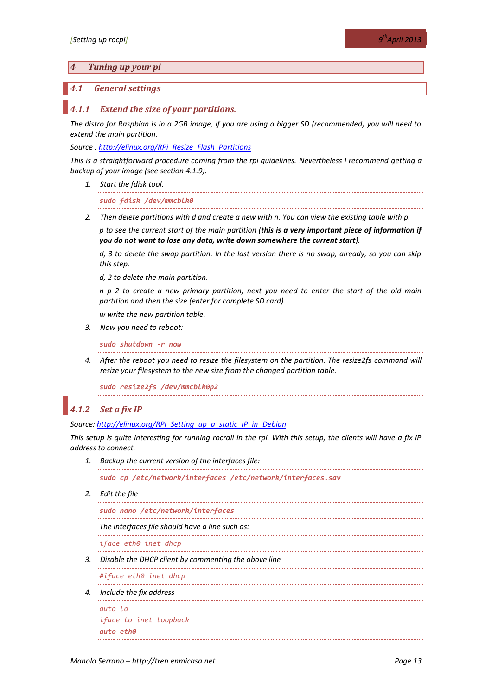#### *4 Tuning up your pi*

#### <span id="page-12-0"></span>*4.1 General settings*

#### *4.1.1 Extend the size of your partitions.*

*The distro for Raspbian is in a 2GB image, if you are using a bigger SD (recommended) you will need to extend the main partition.*

*Source [: http://elinux.org/RPi\\_Resize\\_Flash\\_Partitions](http://elinux.org/RPi_Resize_Flash_Partitions)*

*This is a straightforward procedure coming from the rpi guidelines. Nevertheless I recommend getting a backup of your image (see sectio[n 4.1.9\)](#page-16-0).*

*1. Start the fdisk tool.*

*sudo fdisk /dev/mmcblk0*

*2. Then delete partitions with d and create a new with n. You can view the existing table with p.*

*p to see the current start of the main partition (this is a very important piece of information if you do not want to lose any data, write down somewhere the current start).*

*d, 3 to delete the swap partition. In the last version there is no swap, already, so you can skip this step.*

*d, 2 to delete the main partition.*

*n p 2 to create a new primary partition, next you need to enter the start of the old main partition and then the size (enter for complete SD card).* 

*w write the new partition table.*

*3. Now you need to reboot:*

*sudo shutdown -r now*

*4. After the reboot you need to resize the filesystem on the partition. The resize2fs command will resize your filesystem to the new size from the changed partition table.*

*sudo resize2fs /dev/mmcblk0p2*

#### <span id="page-12-1"></span>*4.1.2 Set a fix IP*

*Source: [http://elinux.org/RPi\\_Setting\\_up\\_a\\_static\\_IP\\_in\\_Debian](http://elinux.org/RPi_Setting_up_a_static_IP_in_Debian)*

*This setup is quite interesting for running rocrail in the rpi. With this setup, the clients will have a fix IP address to connect.* 

*1. Backup the current version of the interfaces file:*

*sudo cp /etc/network/interfaces /etc/network/interfaces.sav* 

*2. Edit the file*

```
sudo nano /etc/network/interfaces
```
*The interfaces file should have a line such as:*

*iface eth0 inet dhcp*

*3. Disable the DHCP client by commenting the above line*

*#iface eth0 inet dhcp*

*4. Include the fix address*

```
auto lo
iface lo inet loopback
auto eth0
```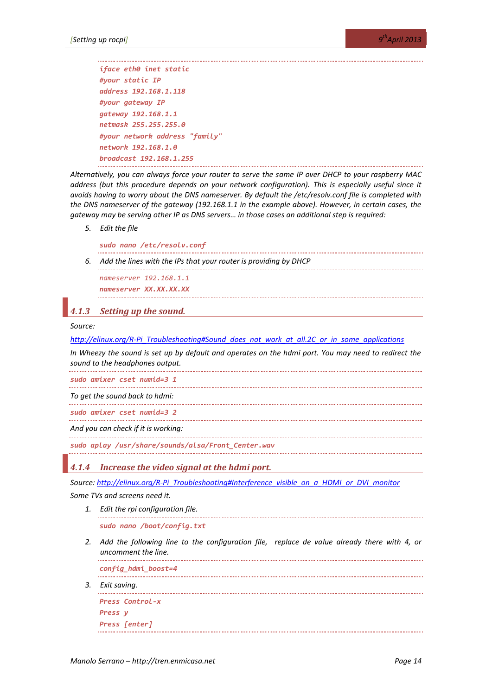```
iface eth0 inet static
#your static IP
address 192.168.1.118 
#your gateway IP
gateway 192.168.1.1
netmask 255.255.255.0
#your network address "family"
network 192.168.1.0
broadcast 192.168.1.255
```
*Alternatively, you can always force your router to serve the same IP over DHCP to your raspberry MAC address (but this procedure depends on your network configuration). This is especially useful since it avoids having to worry about the DNS nameserver. By default the /etc/resolv.conf file is completed with the DNS nameserver of the gateway (192.168.1.1 in the example above). However, in certain cases, the gateway may be serving other IP as DNS servers… in those cases an additional step is required:*

*5. Edit the file*

*sudo nano /etc/resolv.conf*

*6. Add the lines with the IPs that your router is providing by DHCP*

*nameserver 192.168.1.1 nameserver XX.XX.XX.XX*

# <span id="page-13-0"></span>*4.1.3 Setting up the sound.*

#### *Source:*

*[http://elinux.org/R-Pi\\_Troubleshooting#Sound\\_does\\_not\\_work\\_at\\_all.2C\\_or\\_in\\_some\\_applications](http://elinux.org/R-Pi_Troubleshooting#Sound_does_not_work_at_all.2C_or_in_some_applications)*

*In Wheezy the sound is set up by default and operates on the hdmi port. You may need to redirect the sound to the headphones output.*

*sudo amixer cset numid=3 1*

*To get the sound back to hdmi:*

*sudo amixer cset numid=3 2* . . . . . . . . . . . .

*And you can check if it is working:*

*sudo aplay /usr/share/sounds/alsa/Front\_Center.wav*

*4.1.4 Increase the video signal at the hdmi port.* 

*Source: [http://elinux.org/R-Pi\\_Troubleshooting#Interference\\_visible\\_on\\_a\\_HDMI\\_or\\_DVI\\_monitor](http://elinux.org/R-Pi_Troubleshooting#Interference_visible_on_a_HDMI_or_DVI_monitor)*

*Some TVs and screens need it.* 

*1. Edit the rpi configuration file.*

*sudo nano /boot/config.txt*

*2. Add the following line to the configuration file, replace de value already there with 4, or uncomment the line.*

*config\_hdmi\_boost=4*

*3. Exit saving.*

```
Press Control-x
Press y
Press [enter]
```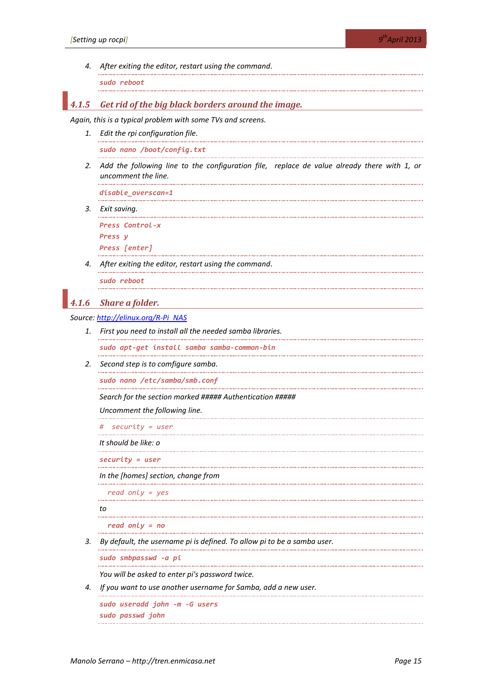*4. After exiting the editor, restart using the command.*

*sudo reboot*

# *4.1.5 Get rid of the big black borders around the image.*

*Again, this is a typical problem with some TVs and screens.*

*1. Edit the rpi configuration file.*

*sudo nano /boot/config.txt*

*2. Add the following line to the configuration file, replace de value already there with 1, or uncomment the line.*

*disable\_overscan=1*

*3. Exit saving.*

*Press Control-x Press y Press [enter]*

. . . . . . . . . . . . . . . .

*4. After exiting the editor, restart using the command.*

*sudo reboot*

#### *4.1.6 Share a folder.*

*Source: [http://elinux.org/R-Pi\\_NAS](http://elinux.org/R-Pi_NAS)*

*1. First you need to install all the needed samba libraries.*

*sudo apt-get install samba samba-common-bin* . . . . . . . . . . . . . .

*2. Second step is to comfigure samba.*

*sudo nano /etc/samba/smb.conf*

*Search for the section marked ##### Authentication #####*

*Uncomment the following line.*

*# security = user*

*It should be like: o*

*security = user*

*In the [homes] section, change from*

 *read only = yes*

*to*

```
 read only = no
```
*3. By default, the username pi is defined. To allow pi to be a samba user.*

*sudo smbpasswd -a pi*

*You will be asked to enter pi's password twice.*

*4. If you want to use another username for Samba, add a new user.*

*sudo useradd john -m -G users sudo passwd john*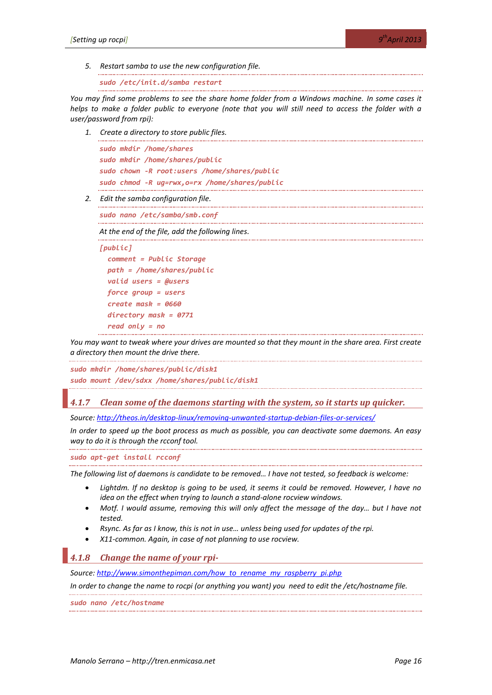*5. Restart samba to use the new configuration file.*

```
sudo /etc/init.d/samba restart
```
*You may find some problems to see the share home folder from a Windows machine. In some cases it helps to make a folder public to everyone (note that you will still need to access the folder with a user/password from rpi):*

*1. Create a directory to store public files.*

```
sudo mkdir /home/shares
sudo mkdir /home/shares/public
sudo chown -R root:users /home/shares/public
sudo chmod -R ug=rwx,o=rx /home/shares/public
```
*2. Edit the samba configuration file.*

*sudo nano /etc/samba/smb.conf*

*At the end of the file, add the following lines.*

```
[public]
   comment = Public Storage
   path = /home/shares/public
   valid users = @users
   force group = users
   create mask = 0660
   directory mask = 0771
   read only = no
```
*You may want to tweak where your drives are mounted so that they mount in the share area. First create a directory then mount the drive there.*

```
sudo mkdir /home/shares/public/disk1
sudo mount /dev/sdxx /home/shares/public/disk1
```
# *4.1.7 Clean some of the daemons starting with the system, so it starts up quicker.*

*Source:<http://theos.in/desktop-linux/removing-unwanted-startup-debian-files-or-services/>*

*In order to speed up the boot process as much as possible, you can deactivate some daemons. An easy way to do it is through the rcconf tool.*

*sudo apt-get install rcconf*

*The following list of daemons is candidate to be removed… I have not tested, so feedback is welcome:*

- Lightdm. If no desktop is going to be used, it seems it could be removed. However, I have no *idea on the effect when trying to launch a stand-alone rocview windows.*
- *Motf. I would assume, removing this will only affect the message of the day… but I have not tested.*
- *Rsync. As far as I know, this is not in use… unless being used for updates of the rpi.*
- *X11-common. Again, in case of not planning to use rocview.*

# *4.1.8 Change the name of your rpi-*

*Source: [http://www.simonthepiman.com/how\\_to\\_rename\\_my\\_raspberry\\_pi.php](http://www.simonthepiman.com/how_to_rename_my_raspberry_pi.php)*

*In order to change the name to rocpi (or anything you want) you need to edit the /etc/hostname file.*

*sudo nano /etc/hostname*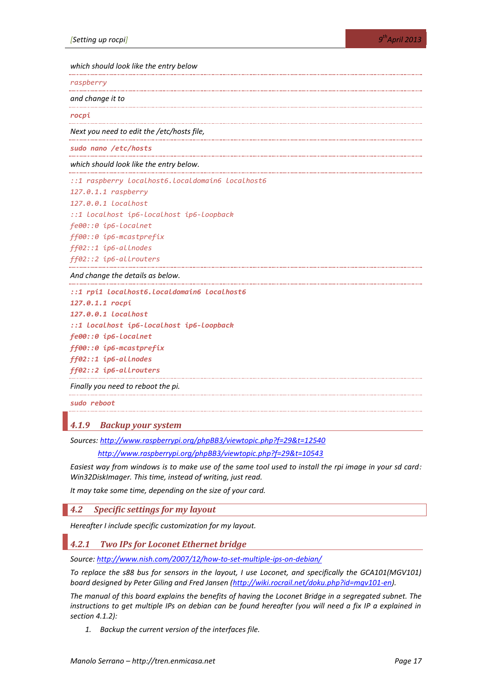*which should look like the entry below*

*raspberry*

*and change it to*

*rocpi*

*Next you need to edit the /etc/hosts file,*

*sudo nano /etc/hosts*

*which should look like the entry below.*

*::1 raspberry localhost6.localdomain6 localhost6*

*127.0.1.1 raspberry*

*127.0.0.1 localhost*

*::1 localhost ip6-localhost ip6-loopback*

*fe00::0 ip6-localnet*

*ff00::0 ip6-mcastprefix*

*ff02::1 ip6-allnodes*

*ff02::2 ip6-allrouters*

*And change the details as below.* 

*::1 rpi1 localhost6.localdomain6 localhost6*

```
127.0.1.1 rocpi
127.0.0.1 localhost
::1 localhost ip6-localhost ip6-loopback
fe00::0 ip6-localnet
ff00::0 ip6-mcastprefix
ff02::1 ip6-allnodes
ff02::2 ip6-allrouters
```
*Finally you need to reboot the pi.*

*sudo reboot*

# <span id="page-16-0"></span>*4.1.9 Backup your system*

*Sources:<http://www.raspberrypi.org/phpBB3/viewtopic.php?f=29&t=12540>*

*<http://www.raspberrypi.org/phpBB3/viewtopic.php?f=29&t=10543>*

*Easiest way from windows is to make use of the same tool used to install the rpi image in your sd card: Win32DiskImager. This time, instead of writing, just read.*

*It may take some time, depending on the size of your card.*

*4.2 Specific settings for my layout*

*Hereafter I include specific customization for my layout.*

*4.2.1 Two IPs for Loconet Ethernet bridge*

*Source:<http://www.nish.com/2007/12/how-to-set-multiple-ips-on-debian/>*

*To replace the s88 bus for sensors in the layout, I use Loconet, and specifically the GCA101(MGV101) board designed by Peter Giling and Fred Jansen [\(http://wiki.rocrail.net/doku.php?id=mgv101-en\)](http://wiki.rocrail.net/doku.php?id=mgv101-en).* 

*The manual of this board explains the benefits of having the Loconet Bridge in a segregated subnet. The instructions to get multiple IPs on debian can be found hereafter (you will need a fix IP a explained in section [4.1.2\)](#page-12-1):*

*1. Backup the current version of the interfaces file.*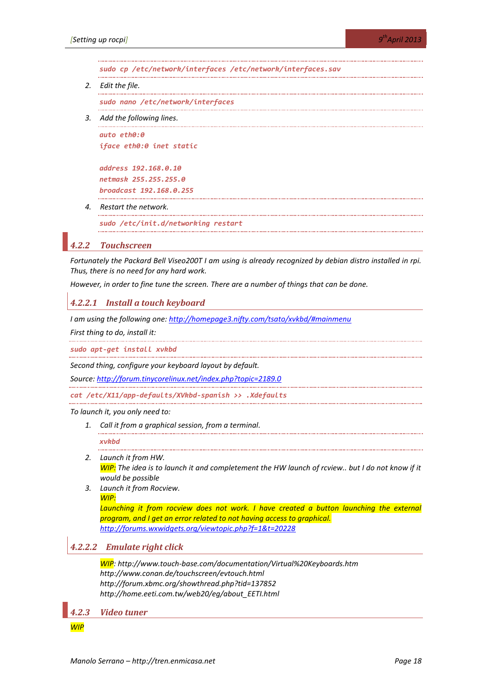*sudo cp /etc/network/interfaces /etc/network/interfaces.sav*

*2. Edit the file.*

*sudo nano /etc/network/interfaces*

*3. Add the following lines.*

*auto eth0:0 iface eth0:0 inet static*

*address 192.168.0.10 netmask 255.255.255.0 broadcast 192.168.0.255*

*4. Restart the network.*

*sudo /etc/init.d/networking restart*

#### *4.2.2 Touchscreen*

*Fortunately the Packard Bell Viseo200T I am using is already recognized by debian distro installed in rpi. Thus, there is no need for any hard work.*

*However, in order to fine tune the screen. There are a number of things that can be done.*

#### *4.2.2.1 Install a touch keyboard*

*I am using the following one: <http://homepage3.nifty.com/tsato/xvkbd/#mainmenu>*

*First thing to do, install it:*

*sudo apt-get install xvkbd*

*Second thing, configure your keyboard layout by default.*

*Source:<http://forum.tinycorelinux.net/index.php?topic=2189.0>*

*cat /etc/X11/app-defaults/XVkbd-spanish >> .Xdefaults*

*To launch it, you only need to:*

*1. Call it from a graphical session, from a terminal.*

#### *xvkbd*

- *2. Launch it from HW. WIP: The idea is to launch it and completement the HW launch of rcview.. but I do not know if it would be possible*
- *3. Launch it from Rocview. WIP:*

Launching it from rocview does not work. I have created a button launching the external *program, and I get an error related to not having access to graphical. <http://forums.wxwidgets.org/viewtopic.php?f=1&t=20228>*

# *4.2.2.2 Emulate right click*

*WIP: http://www.touch-base.com/documentation/Virtual%20Keyboards.htm http://www.conan.de/touchscreen/evtouch.html http://forum.xbmc.org/showthread.php?tid=137852 http://home.eeti.com.tw/web20/eg/about\_EETI.html*

*4.2.3 Video tuner*

*WIP*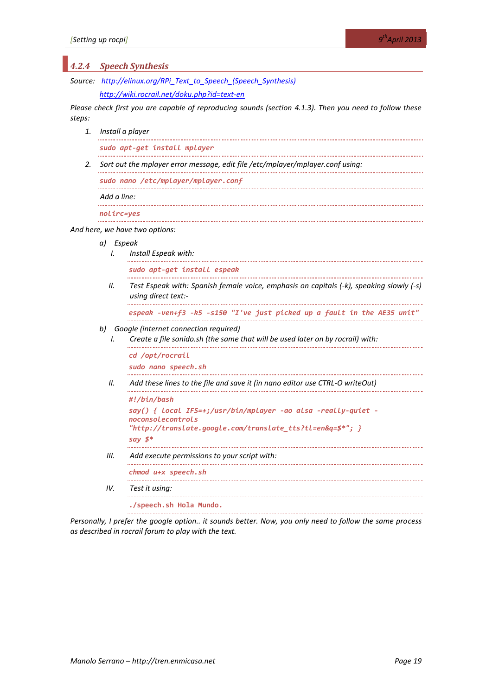| 4.2.4  |                                                                                | <b>Speech Synthesis</b>                                                                                        |  |  |  |  |  |
|--------|--------------------------------------------------------------------------------|----------------------------------------------------------------------------------------------------------------|--|--|--|--|--|
|        | Source: http://elinux.org/RPi Text to Speech (Speech Synthesis)                |                                                                                                                |  |  |  |  |  |
|        |                                                                                | http://wiki.rocrail.net/doku.php?id=text-en                                                                    |  |  |  |  |  |
| steps: |                                                                                | Please check first you are capable of reproducing sounds (section 4.1.3). Then you need to follow these        |  |  |  |  |  |
| 1.     | Install a player                                                               |                                                                                                                |  |  |  |  |  |
|        | sudo apt-get install mplayer                                                   |                                                                                                                |  |  |  |  |  |
| 2.     | Sort out the mplayer error message, edit file /etc/mplayer/mplayer.conf using: |                                                                                                                |  |  |  |  |  |
|        |                                                                                | sudo nano /etc/mplayer/mplayer.conf                                                                            |  |  |  |  |  |
|        | Add a line:                                                                    |                                                                                                                |  |  |  |  |  |
|        | nolirc=yes                                                                     |                                                                                                                |  |  |  |  |  |
|        |                                                                                | And here, we have two options:                                                                                 |  |  |  |  |  |
|        | a) Espeak<br>I.                                                                | Install Espeak with:                                                                                           |  |  |  |  |  |
|        |                                                                                | sudo apt-get install espeak                                                                                    |  |  |  |  |  |
|        | Н.                                                                             | Test Espeak with: Spanish female voice, emphasis on capitals (-k), speaking slowly (-s)<br>using direct text:- |  |  |  |  |  |
|        |                                                                                | espeak -ven+f3 -k5 -s150 "I've just picked up a fault in the AE35 unit'                                        |  |  |  |  |  |
|        | b)                                                                             | Google (internet connection required)                                                                          |  |  |  |  |  |
|        | L                                                                              | Create a file sonido.sh (the same that will be used later on by rocrail) with:                                 |  |  |  |  |  |
|        |                                                                                | cd /opt/rocrail                                                                                                |  |  |  |  |  |
|        |                                                                                | sudo nano speech.sh                                                                                            |  |  |  |  |  |
|        | Н.                                                                             | Add these lines to the file and save it (in nano editor use CTRL-O writeOut)                                   |  |  |  |  |  |
|        |                                                                                | #!/bin/bash<br>say() {        local IFS=+;/usr/bin/mplayer -ao alsa -really-quiet -                            |  |  |  |  |  |
|        |                                                                                | noconsolecontrols<br>"http://translate.google.com/translate_tts?tl=en&q=\$*";                       }          |  |  |  |  |  |
|        |                                                                                | say $5^*$                                                                                                      |  |  |  |  |  |
|        | Ш.                                                                             | Add execute permissions to your script with:                                                                   |  |  |  |  |  |
|        |                                                                                | chmod u+x speech.sh                                                                                            |  |  |  |  |  |
|        | IV.                                                                            | Test it using:                                                                                                 |  |  |  |  |  |
|        |                                                                                | ./speech.sh Hola Mundo.                                                                                        |  |  |  |  |  |
|        |                                                                                |                                                                                                                |  |  |  |  |  |

*Personally, I prefer the google option.. it sounds better. Now, you only need to follow the same process as described in rocrail forum to play with the text.*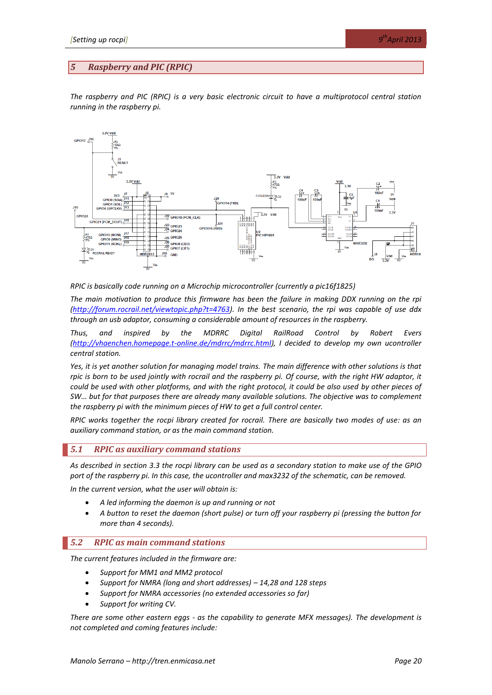#### <span id="page-19-0"></span>*5 Raspberry and PIC (RPIC)*

*The raspberry and PIC (RPIC) is a very basic electronic circuit to have a multiprotocol central station running in the raspberry pi.*



*RPIC is basically code running on a Microchip microcontroller (currently a pic16f1825)*

*The main motivation to produce this firmware has been the failure in making DDX running on the rpi [\(http://forum.rocrail.net/viewtopic.php?t=4763\)](http://forum.rocrail.net/viewtopic.php?t=4763). In the best scenario, the rpi was capable of use ddx through an usb adaptor, consuming a considerable amount of resources in the raspberry.*

*Thus, and inspired by the MDRRC Digital RailRoad Control by Robert Evers [\(http://vhaenchen.homepage.t-online.de/mdrrc/mdrrc.html\)](http://vhaenchen.homepage.t-online.de/mdrrc/mdrrc.html), I decided to develop my own ucontroller central station.*

*Yes, it is yet another solution for managing model trains. The main difference with other solutions is that rpic is born to be used jointly with rocrail and the raspberry pi. Of course, with the right HW adaptor, it could be used with other platforms, and with the right protocol, it could be also used by other pieces of SW… but for that purposes there are already many available solutions. The objective was to complement the raspberry pi with the minimum pieces of HW to get a full control center.*

*RPIC works together the rocpi library created for rocrail. There are basically two modes of use: as an auxiliary command station, or as the main command station.*

#### *5.1 RPIC as auxiliary command stations*

*As described in section [3.3](#page-5-2) the rocpi library can be used as a secondary station to make use of the GPIO port of the raspberry pi. In this case, the ucontroller and max3232 of the schematic, can be removed.*

*In the current version, what the user will obtain is:*

- *A led informing the daemon is up and running or not*
- *A button to reset the daemon (short pulse) or turn off your raspberry pi (pressing the button for more than 4 seconds).*

#### *5.2 RPIC as main command stations*

*The current features included in the firmware are:*

- *Support for MM1 and MM2 protocol*
- *Support for NMRA (long and short addresses) – 14,28 and 128 steps*
- *Support for NMRA accessories (no extended accessories so far)*
- *Support for writing CV.*

*There are some other eastern eggs - as the capability to generate MFX messages). The development is not completed and coming features include:*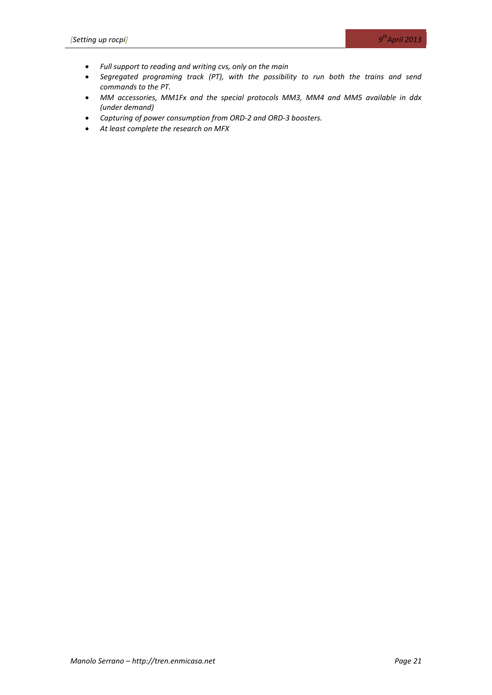- *Full support to reading and writing cvs, only on the main*
- *Segregated programing track (PT), with the possibility to run both the trains and send commands to the PT.*
- *MM accessories, MM1Fx and the special protocols MM3, MM4 and MM5 available in ddx (under demand)*
- *Capturing of power consumption from ORD-2 and ORD-3 boosters.*
- *At least complete the research on MFX*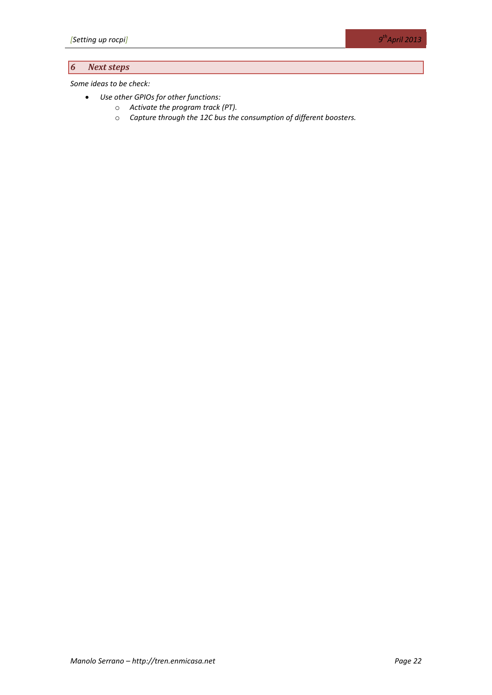# *6 Next steps*

*Some ideas to be check:*

- *Use other GPIOs for other functions:*
	- o *Activate the program track (PT).*
	- o *Capture through the 12C bus the consumption of different boosters.*